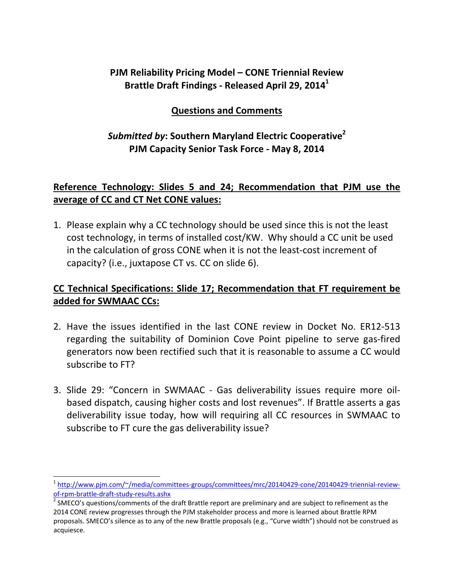# **PJM Reliability Pricing Model – CONE Triennial Review Brattle Draft Findings ‐ Released April 29, 20141**

## **Questions and Comments**

## *Submitted by***: Southern Maryland Electric Cooperative2 PJM Capacity Senior Task Force ‐ May 8, 2014**

## **Reference Technology: Slides 5 and 24; Recommendation that PJM use the average of CC and CT Net CONE values:**

1. Please explain why a CC technology should be used since this is not the least cost technology, in terms of installed cost/KW. Why should a CC unit be used in the calculation of gross CONE when it is not the least‐cost increment of capacity? (i.e., juxtapose CT vs. CC on slide 6).

# **CC Technical Specifications: Slide 17; Recommendation that FT requirement be added for SWMAAC CCs:**

- 2. Have the issues identified in the last CONE review in Docket No. ER12‐513 regarding the suitability of Dominion Cove Point pipeline to serve gas‐fired generators now been rectified such that it is reasonable to assume a CC would subscribe to FT?
- 3. Slide 29: "Concern in SWMAAC Gas deliverability issues require more oilbased dispatch, causing higher costs and lost revenues". If Brattle asserts a gas deliverability issue today, how will requiring all CC resources in SWMAAC to subscribe to FT cure the gas deliverability issue?

 $\overline{a}$ 

<sup>&</sup>lt;sup>1</sup> http://www.pjm.com/~/media/committees-groups/committees/mrc/20140429-cone/20140429-triennial-review-<br>of-rpm-brattle-draft-study-results.ashx

<sup>&</sup>lt;sup>2</sup> SMECO's questions/comments of the draft Brattle report are preliminary and are subject to refinement as the 2014 CONE review progresses through the PJM stakeholder process and more is learned about Brattle RPM proposals. SMECO's silence as to any of the new Brattle proposals (e.g., "Curve width") should not be construed as acquiesce.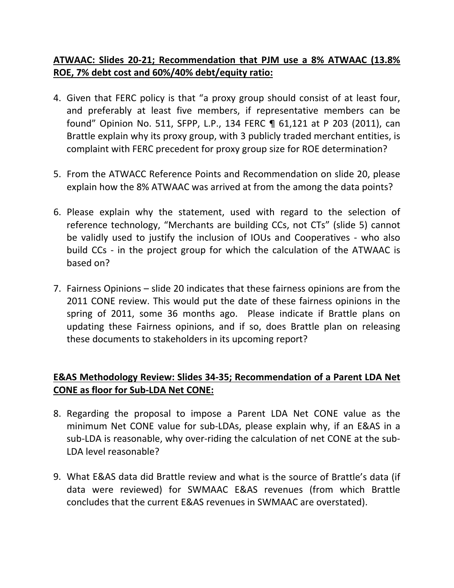## **ATWAAC: Slides 20‐21; Recommendation that PJM use a 8% ATWAAC (13.8% ROE, 7% debt cost and 60%/40% debt/equity ratio:**

- 4. Given that FERC policy is that "a proxy group should consist of at least four, and preferably at least five members, if representative members can be found" Opinion No. 511, SFPP, L.P., 134 FERC ¶ 61,121 at P 203 (2011), can Brattle explain why its proxy group, with 3 publicly traded merchant entities, is complaint with FERC precedent for proxy group size for ROE determination?
- 5. From the ATWACC Reference Points and Recommendation on slide 20, please explain how the 8% ATWAAC was arrived at from the among the data points?
- 6. Please explain why the statement, used with regard to the selection of reference technology, "Merchants are building CCs, not CTs" (slide 5) cannot be validly used to justify the inclusion of IOUs and Cooperatives - who also build CCs - in the project group for which the calculation of the ATWAAC is based on?
- 7. Fairness Opinions slide 20 indicates that these fairness opinions are from the 2011 CONE review. This would put the date of these fairness opinions in the spring of 2011, some 36 months ago. Please indicate if Brattle plans on updating these Fairness opinions, and if so, does Brattle plan on releasing these documents to stakeholders in its upcoming report?

## **E&AS Methodology Review: Slides 34‐35; Recommendation of a Parent LDA Net CONE as floor for Sub‐LDA Net CONE:**

- 8. Regarding the proposal to impose a Parent LDA Net CONE value as the minimum Net CONE value for sub‐LDAs, please explain why, if an E&AS in a sub‐LDA is reasonable, why over‐riding the calculation of net CONE at the sub‐ LDA level reasonable?
- 9. What E&AS data did Brattle review and what is the source of Brattle's data (if data were reviewed) for SWMAAC E&AS revenues (from which Brattle concludes that the current E&AS revenues in SWMAAC are overstated).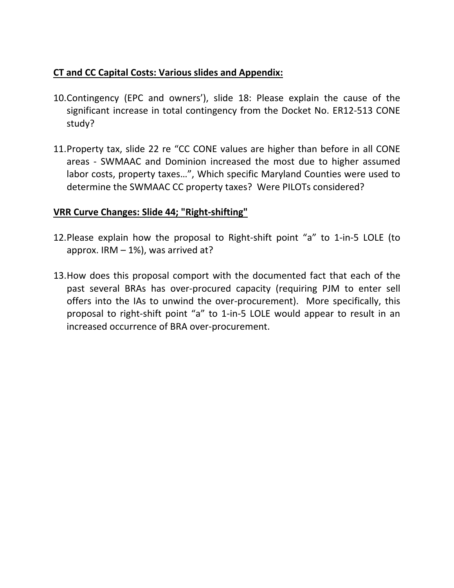## **CT and CC Capital Costs: Various slides and Appendix:**

- 10.Contingency (EPC and owners'), slide 18: Please explain the cause of the significant increase in total contingency from the Docket No. ER12‐513 CONE study?
- 11.Property tax, slide 22 re "CC CONE values are higher than before in all CONE areas ‐ SWMAAC and Dominion increased the most due to higher assumed labor costs, property taxes…", Which specific Maryland Counties were used to determine the SWMAAC CC property taxes? Were PILOTs considered?

#### **VRR Curve Changes: Slide 44; "Right‐shifting"**

- 12.Please explain how the proposal to Right‐shift point "a" to 1‐in‐5 LOLE (to approx. IRM  $-1\%$ ), was arrived at?
- 13.How does this proposal comport with the documented fact that each of the past several BRAs has over‐procured capacity (requiring PJM to enter sell offers into the IAs to unwind the over‐procurement). More specifically, this proposal to right‐shift point "a" to 1‐in‐5 LOLE would appear to result in an increased occurrence of BRA over‐procurement.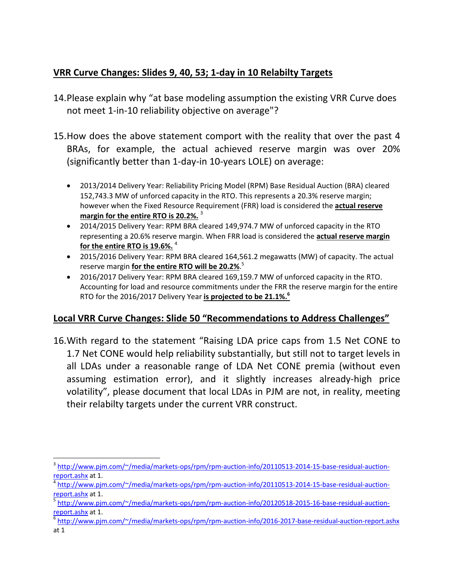# **VRR Curve Changes: Slides 9, 40, 53; 1‐day in 10 Relabilty Targets**

- 14.Please explain why "at base modeling assumption the existing VRR Curve does not meet 1-in-10 reliability objective on average"?
- 15.How does the above statement comport with the reality that over the past 4 BRAs, for example, the actual achieved reserve margin was over 20% (significantly better than 1‐day‐in 10‐years LOLE) on average:
	- 2013/2014 Delivery Year: Reliability Pricing Model (RPM) Base Residual Auction (BRA) cleared 152,743.3 MW of unforced capacity in the RTO. This represents a 20.3% reserve margin; however when the Fixed Resource Requirement (FRR) load is considered the **actual reserve margin for the entire RTO is 20.2%.** <sup>3</sup>
	- 2014/2015 Delivery Year: RPM BRA cleared 149,974.7 MW of unforced capacity in the RTO representing a 20.6% reserve margin. When FRR load is considered the **actual reserve margin for the entire RTO is 19.6%.** <sup>4</sup>
	- 2015/2016 Delivery Year: RPM BRA cleared 164,561.2 megawatts (MW) of capacity. The actual reserve margin **for the entire RTO will be 20.2%**. 5
	- 2016/2017 Delivery Year: RPM BRA cleared 169,159.7 MW of unforced capacity in the RTO. Accounting for load and resource commitments under the FRR the reserve margin for the entire RTO for the 2016/2017 Delivery Year **is projected to be 21.1%.<sup>6</sup>**

## **Local VRR Curve Changes: Slide 50 "Recommendations to Address Challenges"**

16.With regard to the statement "Raising LDA price caps from 1.5 Net CONE to 1.7 Net CONE would help reliability substantially, but still not to target levels in all LDAs under a reasonable range of LDA Net CONE premia (without even assuming estimation error), and it slightly increases already‐high price volatility", please document that local LDAs in PJM are not, in reality, meeting their relabilty targets under the current VRR construct.

 $\overline{a}$ <sup>3</sup> http://www.pjm.com/~/media/markets-ops/rpm/rpm-auction-info/20110513-2014-15-base-residual-auctionreport.ashx at 1.<br><sup>4</sup> http://www.pjm.com/~/media/markets-ops/rpm/rpm-auction-info/20110513-2014-15-base-residual-auction-

report.ashx at 1.<br><sup>5</sup> http://www.pjm.com/~/media/markets-ops/rpm/rpm-auction-info/20120518-2015-16-base-residual-auction-

report.ashx at 1.<br><sup>6</sup> http://www.pjm.com/~/media/markets-ops/rpm/rpm-auction-info/2016‐2017‐base‐residual‐auction‐report.ashx

at 1